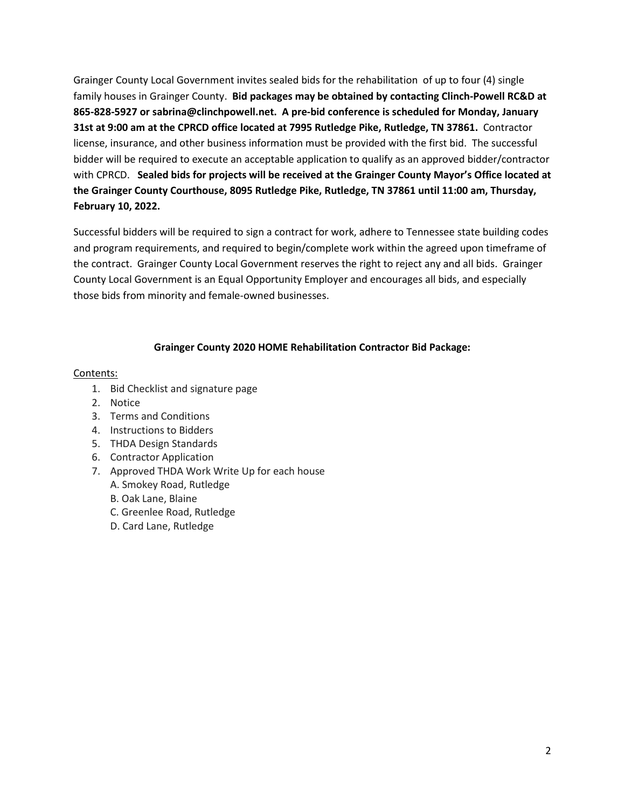Grainger County Local Government invites sealed bids for the rehabilitation of up to four (4) single family houses in Grainger County. **Bid packages may be obtained by contacting Clinch-Powell RC&D at 865-828-5927 or sabrina@clinchpowell.net. A pre-bid conference is scheduled for Monday, January 31st at 9:00 am at the CPRCD office located at 7995 Rutledge Pike, Rutledge, TN 37861.** Contractor license, insurance, and other business information must be provided with the first bid. The successful bidder will be required to execute an acceptable application to qualify as an approved bidder/contractor with CPRCD. **Sealed bids for projects will be received at the Grainger County Mayor's Office located at the Grainger County Courthouse, 8095 Rutledge Pike, Rutledge, TN 37861 until 11:00 am, Thursday, February 10, 2022.** 

Successful bidders will be required to sign a contract for work, adhere to Tennessee state building codes and program requirements, and required to begin/complete work within the agreed upon timeframe of the contract. Grainger County Local Government reserves the right to reject any and all bids. Grainger County Local Government is an Equal Opportunity Employer and encourages all bids, and especially those bids from minority and female-owned businesses.

#### **Grainger County 2020 HOME Rehabilitation Contractor Bid Package:**

#### Contents:

- 1. Bid Checklist and signature page
- 2. Notice
- 3. Terms and Conditions
- 4. Instructions to Bidders
- 5. THDA Design Standards
- 6. Contractor Application
- 7. Approved THDA Work Write Up for each house
	- A. Smokey Road, Rutledge
	- B. Oak Lane, Blaine
	- C. Greenlee Road, Rutledge
	- D. Card Lane, Rutledge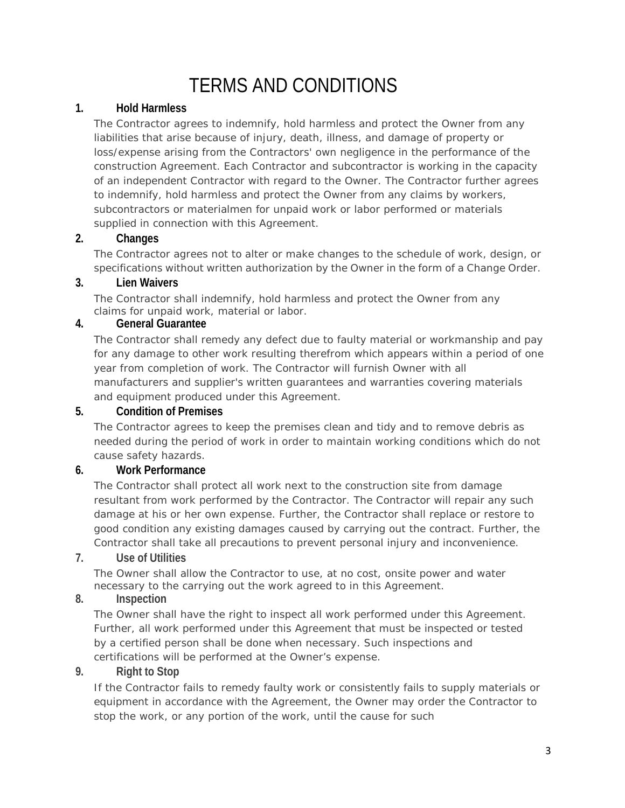# TERMS AND CONDITIONS

#### **1. Hold Harmless**

The Contractor agrees to indemnify, hold harmless and protect the Owner from any liabilities that arise because of injury, death, illness, and damage of property or loss/expense arising from the Contractors' own negligence in the performance of the construction Agreement. Each Contractor and subcontractor is working in the capacity of an independent Contractor with regard to the Owner. The Contractor further agrees to indemnify, hold harmless and protect the Owner from any claims by workers, subcontractors or materialmen for unpaid work or labor performed or materials supplied in connection with this Agreement.

#### **2. Changes**

The Contractor agrees not to alter or make changes to the schedule of work, design, or specifications without written authorization by the Owner in the form of a Change Order.

#### **3. Lien Waivers**

The Contractor shall indemnify, hold harmless and protect the Owner from any claims for unpaid work, material or labor.

#### **4. General Guarantee**

The Contractor shall remedy any defect due to faulty material or workmanship and pay for any damage to other work resulting therefrom which appears within a period of one year from completion of work. The Contractor will furnish Owner with all manufacturers and supplier's written guarantees and warranties covering materials and equipment produced under this Agreement.

#### **5. Condition of Premises**

The Contractor agrees to keep the premises clean and tidy and to remove debris as needed during the period of work in order to maintain working conditions which do not cause safety hazards.

#### **6. Work Performance**

The Contractor shall protect all work next to the construction site from damage resultant from work performed by the Contractor. The Contractor will repair any such damage at his or her own expense. Further, the Contractor shall replace or restore to good condition any existing damages caused by carrying out the contract. Further, the Contractor shall take all precautions to prevent personal injury and inconvenience.

#### **7. Use of Utilities**

The Owner shall allow the Contractor to use, at no cost, onsite power and water necessary to the carrying out the work agreed to in this Agreement.

## **8. Inspection**

The Owner shall have the right to inspect all work performed under this Agreement. Further, all work performed under this Agreement that must be inspected or tested by a certified person shall be done when necessary. Such inspections and certifications will be performed at the Owner's expense.

#### **9. Right to Stop**

If the Contractor fails to remedy faulty work or consistently fails to supply materials or equipment in accordance with the Agreement, the Owner may order the Contractor to stop the work, or any portion of the work, until the cause for such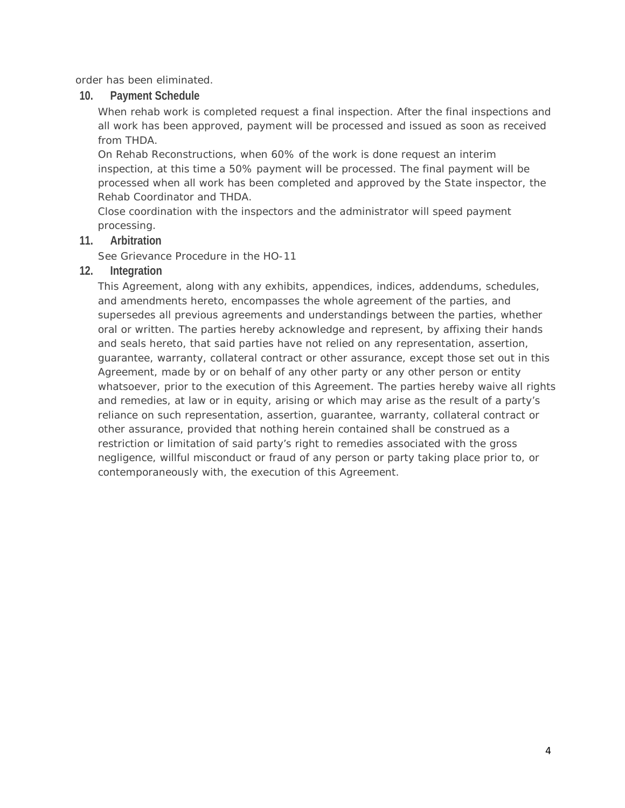order has been eliminated.

**10. Payment Schedule**

When rehab work is completed request a final inspection. After the final inspections and all work has been approved, payment will be processed and issued as soon as received from THDA.

On Rehab Reconstructions, when 60% of the work is done request an interim inspection, at this time a 50% payment will be processed. The final payment will be processed when all work has been completed and approved by the State inspector, the Rehab Coordinator and THDA.

Close coordination with the inspectors and the administrator will speed payment processing.

#### **11. Arbitration**

See Grievance Procedure in the HO-11

#### **12. Integration**

This Agreement, along with any exhibits, appendices, indices, addendums, schedules, and amendments hereto, encompasses the whole agreement of the parties, and supersedes all previous agreements and understandings between the parties, whether oral or written. The parties hereby acknowledge and represent, by affixing their hands and seals hereto, that said parties have not relied on any representation, assertion, guarantee, warranty, collateral contract or other assurance, except those set out in this Agreement, made by or on behalf of any other party or any other person or entity whatsoever, prior to the execution of this Agreement. The parties hereby waive all rights and remedies, at law or in equity, arising or which may arise as the result of a party's reliance on such representation, assertion, guarantee, warranty, collateral contract or other assurance, provided that nothing herein contained shall be construed as a restriction or limitation of said party's right to remedies associated with the gross negligence, willful misconduct or fraud of any person or party taking place prior to, or contemporaneously with, the execution of this Agreement.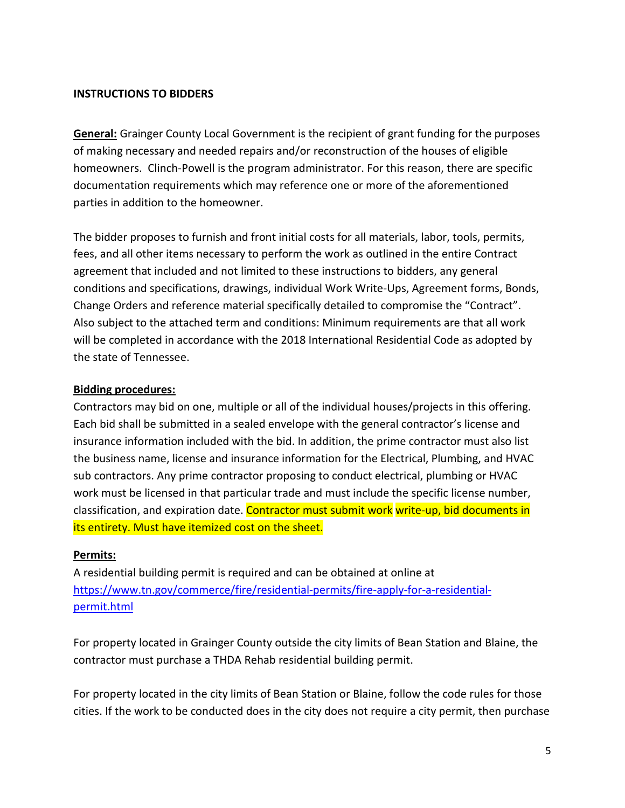#### **INSTRUCTIONS TO BIDDERS**

**General:** Grainger County Local Government is the recipient of grant funding for the purposes of making necessary and needed repairs and/or reconstruction of the houses of eligible homeowners. Clinch-Powell is the program administrator. For this reason, there are specific documentation requirements which may reference one or more of the aforementioned parties in addition to the homeowner.

The bidder proposes to furnish and front initial costs for all materials, labor, tools, permits, fees, and all other items necessary to perform the work as outlined in the entire Contract agreement that included and not limited to these instructions to bidders, any general conditions and specifications, drawings, individual Work Write-Ups, Agreement forms, Bonds, Change Orders and reference material specifically detailed to compromise the "Contract". Also subject to the attached term and conditions: Minimum requirements are that all work will be completed in accordance with the 2018 International Residential Code as adopted by the state of Tennessee.

#### **Bidding procedures:**

Contractors may bid on one, multiple or all of the individual houses/projects in this offering. Each bid shall be submitted in a sealed envelope with the general contractor's license and insurance information included with the bid. In addition, the prime contractor must also list the business name, license and insurance information for the Electrical, Plumbing, and HVAC sub contractors. Any prime contractor proposing to conduct electrical, plumbing or HVAC work must be licensed in that particular trade and must include the specific license number, classification, and expiration date. Contractor must submit work write-up, bid documents in its entirety. Must have itemized cost on the sheet.

#### **Permits:**

A residential building permit is required and can be obtained at online at https://www.tn.gov/commerce/fire/residential-permits/fire-apply-for-a-residentialpermit.html

For property located in Grainger County outside the city limits of Bean Station and Blaine, the contractor must purchase a THDA Rehab residential building permit.

For property located in the city limits of Bean Station or Blaine, follow the code rules for those cities. If the work to be conducted does in the city does not require a city permit, then purchase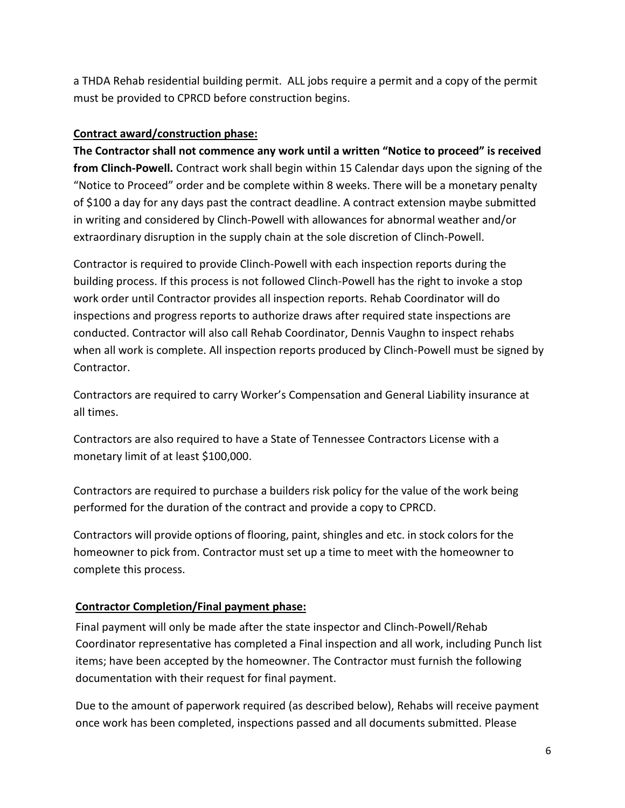a THDA Rehab residential building permit. ALL jobs require a permit and a copy of the permit must be provided to CPRCD before construction begins.

#### **Contract award/construction phase:**

**The Contractor shall not commence any work until a written "Notice to proceed" is received from Clinch-Powell.** Contract work shall begin within 15 Calendar days upon the signing of the "Notice to Proceed" order and be complete within 8 weeks. There will be a monetary penalty of \$100 a day for any days past the contract deadline. A contract extension maybe submitted in writing and considered by Clinch-Powell with allowances for abnormal weather and/or extraordinary disruption in the supply chain at the sole discretion of Clinch-Powell.

Contractor is required to provide Clinch-Powell with each inspection reports during the building process. If this process is not followed Clinch-Powell has the right to invoke a stop work order until Contractor provides all inspection reports. Rehab Coordinator will do inspections and progress reports to authorize draws after required state inspections are conducted. Contractor will also call Rehab Coordinator, Dennis Vaughn to inspect rehabs when all work is complete. All inspection reports produced by Clinch-Powell must be signed by Contractor.

Contractors are required to carry Worker's Compensation and General Liability insurance at all times.

Contractors are also required to have a State of Tennessee Contractors License with a monetary limit of at least \$100,000.

Contractors are required to purchase a builders risk policy for the value of the work being performed for the duration of the contract and provide a copy to CPRCD.

Contractors will provide options of flooring, paint, shingles and etc. in stock colors for the homeowner to pick from. Contractor must set up a time to meet with the homeowner to complete this process.

## **Contractor Completion/Final payment phase:**

Final payment will only be made after the state inspector and Clinch-Powell/Rehab Coordinator representative has completed a Final inspection and all work, including Punch list items; have been accepted by the homeowner. The Contractor must furnish the following documentation with their request for final payment.

Due to the amount of paperwork required (as described below), Rehabs will receive payment once work has been completed, inspections passed and all documents submitted. Please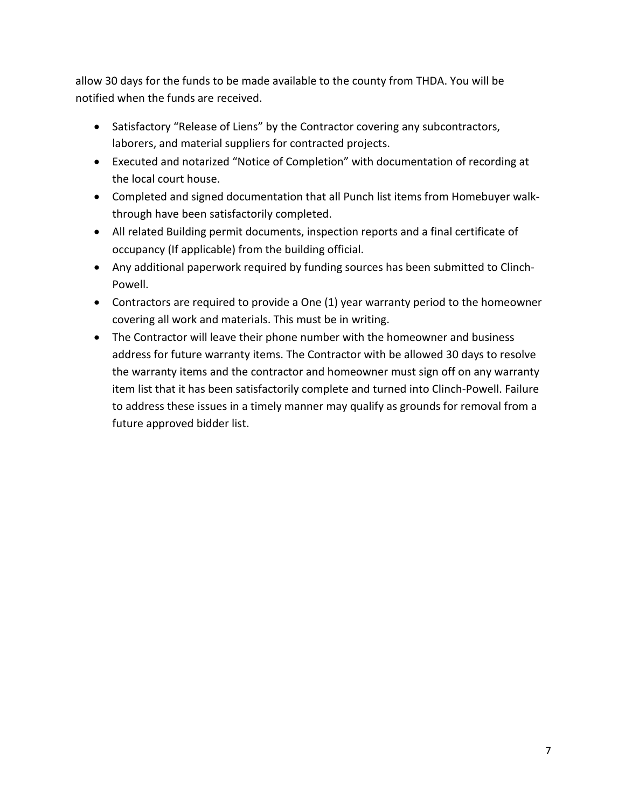allow 30 days for the funds to be made available to the county from THDA. You will be notified when the funds are received.

- Satisfactory "Release of Liens" by the Contractor covering any subcontractors, laborers, and material suppliers for contracted projects.
- Executed and notarized "Notice of Completion" with documentation of recording at the local court house.
- Completed and signed documentation that all Punch list items from Homebuyer walkthrough have been satisfactorily completed.
- All related Building permit documents, inspection reports and a final certificate of occupancy (If applicable) from the building official.
- Any additional paperwork required by funding sources has been submitted to Clinch-Powell.
- Contractors are required to provide a One (1) year warranty period to the homeowner covering all work and materials. This must be in writing.
- The Contractor will leave their phone number with the homeowner and business address for future warranty items. The Contractor with be allowed 30 days to resolve the warranty items and the contractor and homeowner must sign off on any warranty item list that it has been satisfactorily complete and turned into Clinch-Powell. Failure to address these issues in a timely manner may qualify as grounds for removal from a future approved bidder list.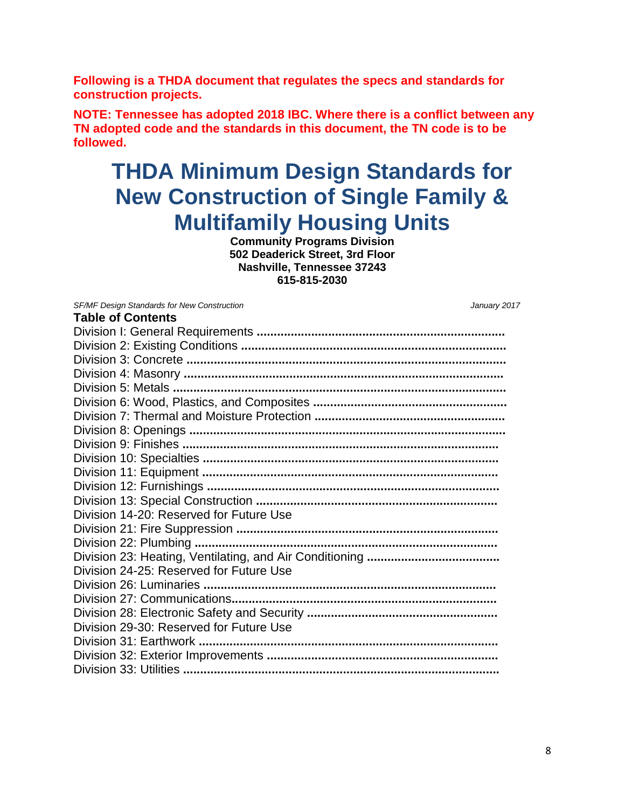**Following is a THDA document that regulates the specs and standards for construction projects.**

**NOTE: Tennessee has adopted 2018 IBC. Where there is a conflict between any TN adopted code and the standards in this document, the TN code is to be followed.**

# **THDA Minimum Design Standards for New Construction of Single Family & Multifamily Housing Units**

**Community Programs Division 502 Deaderick Street, 3rd Floor Nashville, Tennessee 37243 615-815-2030**

**Table of Contents** 

*SF/MF Design Standards for New Construction January 2017*

| Division 14-20: Reserved for Future Use |
|-----------------------------------------|
|                                         |
|                                         |
|                                         |
| Division 24-25: Reserved for Future Use |
|                                         |
|                                         |
|                                         |
| Division 29-30: Reserved for Future Use |
|                                         |
|                                         |
|                                         |
|                                         |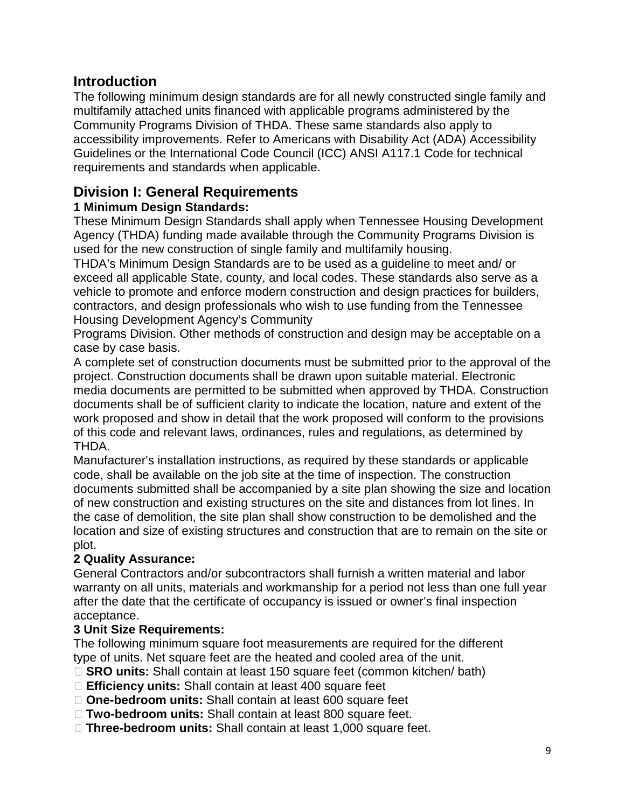## **Introduction**

The following minimum design standards are for all newly constructed single family and multifamily attached units financed with applicable programs administered by the Community Programs Division of THDA. These same standards also apply to accessibility improvements. Refer to Americans with Disability Act (ADA) Accessibility Guidelines or the International Code Council (ICC) ANSI A117.1 Code for technical requirements and standards when applicable.

## **Division I: General Requirements**

## **1 Minimum Design Standards:**

These Minimum Design Standards shall apply when Tennessee Housing Development Agency (THDA) funding made available through the Community Programs Division is used for the new construction of single family and multifamily housing.

THDA's Minimum Design Standards are to be used as a guideline to meet and/ or exceed all applicable State, county, and local codes. These standards also serve as a vehicle to promote and enforce modern construction and design practices for builders, contractors, and design professionals who wish to use funding from the Tennessee Housing Development Agency's Community

Programs Division. Other methods of construction and design may be acceptable on a case by case basis.

A complete set of construction documents must be submitted prior to the approval of the project. Construction documents shall be drawn upon suitable material. Electronic media documents are permitted to be submitted when approved by THDA. Construction documents shall be of sufficient clarity to indicate the location, nature and extent of the work proposed and show in detail that the work proposed will conform to the provisions of this code and relevant laws, ordinances, rules and regulations, as determined by THDA.

Manufacturer's installation instructions, as required by these standards or applicable code, shall be available on the job site at the time of inspection. The construction documents submitted shall be accompanied by a site plan showing the size and location of new construction and existing structures on the site and distances from lot lines. In the case of demolition, the site plan shall show construction to be demolished and the location and size of existing structures and construction that are to remain on the site or plot.

## **2 Quality Assurance:**

General Contractors and/or subcontractors shall furnish a written material and labor warranty on all units, materials and workmanship for a period not less than one full year after the date that the certificate of occupancy is issued or owner's final inspection acceptance.

## **3 Unit Size Requirements:**

The following minimum square foot measurements are required for the different type of units. Net square feet are the heated and cooled area of the unit.

- □ **SRO units:** Shall contain at least 150 square feet (common kitchen/ bath)
- **Efficiency units:** Shall contain at least 400 square feet
- **One-bedroom units:** Shall contain at least 600 square feet
- **Two-bedroom units:** Shall contain at least 800 square feet.
- **Three-bedroom units:** Shall contain at least 1,000 square feet.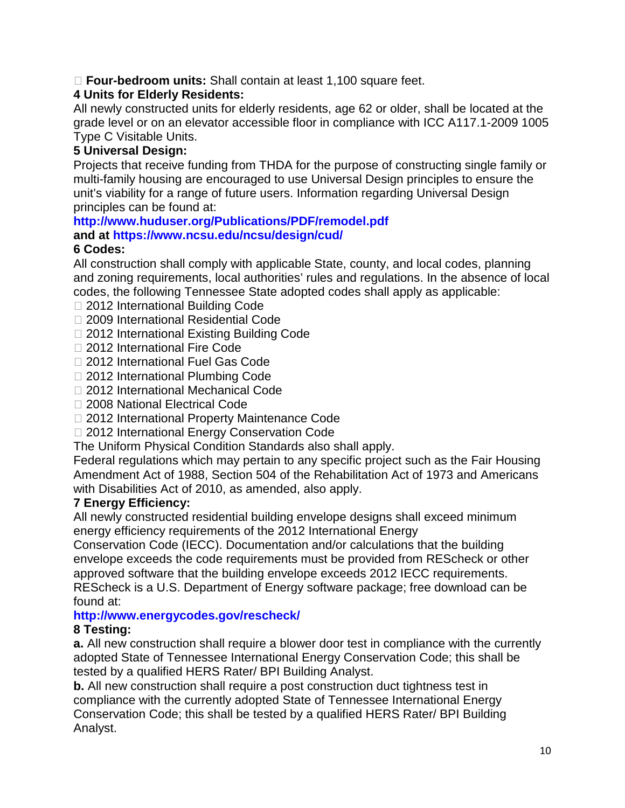## **Four-bedroom units:** Shall contain at least 1,100 square feet.

## **4 Units for Elderly Residents:**

All newly constructed units for elderly residents, age 62 or older, shall be located at the grade level or on an elevator accessible floor in compliance with ICC A117.1-2009 1005 Type C Visitable Units.

## **5 Universal Design:**

Projects that receive funding from THDA for the purpose of constructing single family or multi-family housing are encouraged to use Universal Design principles to ensure the unit's viability for a range of future users. Information regarding Universal Design principles can be found at:

## **http://www.huduser.org/Publications/PDF/remodel.pdf**

**and at https://www.ncsu.edu/ncsu/design/cud/**

## **6 Codes:**

All construction shall comply with applicable State, county, and local codes, planning and zoning requirements, local authorities' rules and regulations. In the absence of local codes, the following Tennessee State adopted codes shall apply as applicable:

- □ 2012 International Building Code
- □ 2009 International Residential Code
- □ 2012 International Existing Building Code
- □ 2012 International Fire Code
- □ 2012 International Fuel Gas Code
- □ 2012 International Plumbing Code
- □ 2012 International Mechanical Code
- □ 2008 National Electrical Code
- □ 2012 International Property Maintenance Code
- □ 2012 International Energy Conservation Code
- The Uniform Physical Condition Standards also shall apply.

Federal regulations which may pertain to any specific project such as the Fair Housing Amendment Act of 1988, Section 504 of the Rehabilitation Act of 1973 and Americans with Disabilities Act of 2010, as amended, also apply.

## **7 Energy Efficiency:**

All newly constructed residential building envelope designs shall exceed minimum energy efficiency requirements of the 2012 International Energy

Conservation Code (IECC). Documentation and/or calculations that the building envelope exceeds the code requirements must be provided from REScheck or other approved software that the building envelope exceeds 2012 IECC requirements. REScheck is a U.S. Department of Energy software package; free download can be found at:

## **http://www.energycodes.gov/rescheck/**

## **8 Testing:**

**a.** All new construction shall require a blower door test in compliance with the currently adopted State of Tennessee International Energy Conservation Code; this shall be tested by a qualified HERS Rater/ BPI Building Analyst.

**b.** All new construction shall require a post construction duct tightness test in compliance with the currently adopted State of Tennessee International Energy Conservation Code; this shall be tested by a qualified HERS Rater/ BPI Building Analyst.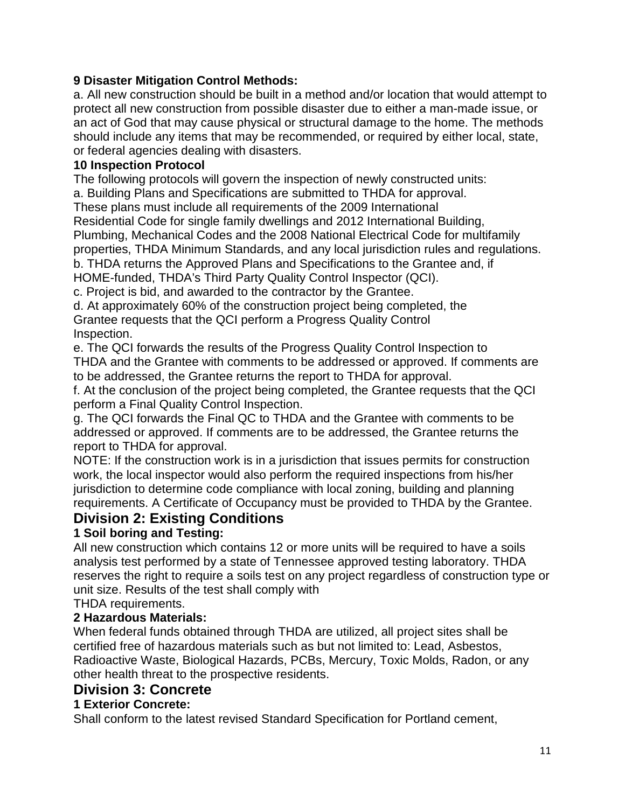## **9 Disaster Mitigation Control Methods:**

a. All new construction should be built in a method and/or location that would attempt to protect all new construction from possible disaster due to either a man-made issue, or an act of God that may cause physical or structural damage to the home. The methods should include any items that may be recommended, or required by either local, state, or federal agencies dealing with disasters.

## **10 Inspection Protocol**

The following protocols will govern the inspection of newly constructed units:

a. Building Plans and Specifications are submitted to THDA for approval.

These plans must include all requirements of the 2009 International

Residential Code for single family dwellings and 2012 International Building,

Plumbing, Mechanical Codes and the 2008 National Electrical Code for multifamily

properties, THDA Minimum Standards, and any local jurisdiction rules and regulations.

b. THDA returns the Approved Plans and Specifications to the Grantee and, if

HOME-funded, THDA's Third Party Quality Control Inspector (QCI).

c. Project is bid, and awarded to the contractor by the Grantee.

d. At approximately 60% of the construction project being completed, the

Grantee requests that the QCI perform a Progress Quality Control Inspection.

e. The QCI forwards the results of the Progress Quality Control Inspection to THDA and the Grantee with comments to be addressed or approved. If comments are to be addressed, the Grantee returns the report to THDA for approval.

f. At the conclusion of the project being completed, the Grantee requests that the QCI perform a Final Quality Control Inspection.

g. The QCI forwards the Final QC to THDA and the Grantee with comments to be addressed or approved. If comments are to be addressed, the Grantee returns the report to THDA for approval.

NOTE: If the construction work is in a jurisdiction that issues permits for construction work, the local inspector would also perform the required inspections from his/her jurisdiction to determine code compliance with local zoning, building and planning requirements. A Certificate of Occupancy must be provided to THDA by the Grantee.

## **Division 2: Existing Conditions**

## **1 Soil boring and Testing:**

All new construction which contains 12 or more units will be required to have a soils analysis test performed by a state of Tennessee approved testing laboratory. THDA reserves the right to require a soils test on any project regardless of construction type or unit size. Results of the test shall comply with

THDA requirements.

## **2 Hazardous Materials:**

When federal funds obtained through THDA are utilized, all project sites shall be certified free of hazardous materials such as but not limited to: Lead, Asbestos, Radioactive Waste, Biological Hazards, PCBs, Mercury, Toxic Molds, Radon, or any other health threat to the prospective residents.

## **Division 3: Concrete**

## **1 Exterior Concrete:**

Shall conform to the latest revised Standard Specification for Portland cement,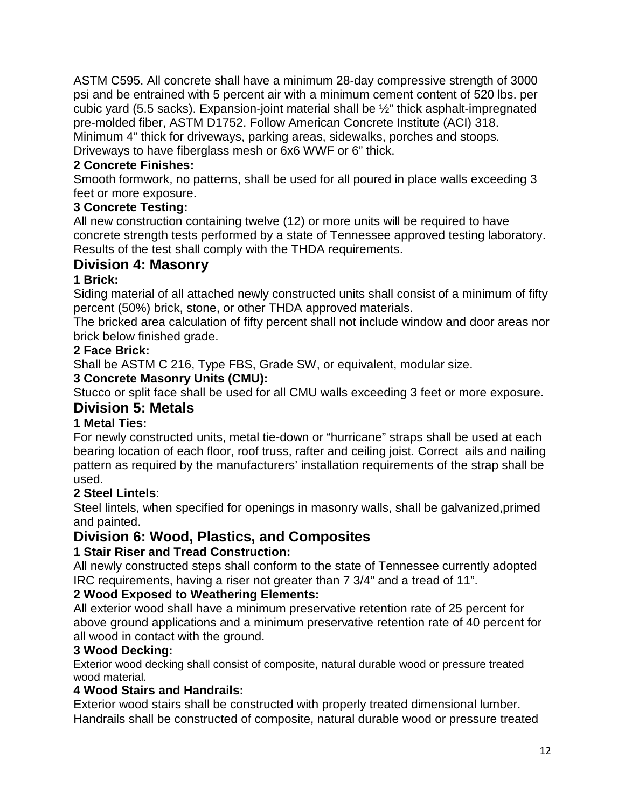ASTM C595. All concrete shall have a minimum 28-day compressive strength of 3000 psi and be entrained with 5 percent air with a minimum cement content of 520 lbs. per cubic yard (5.5 sacks). Expansion-joint material shall be  $\frac{1}{2}$ " thick asphalt-impregnated pre-molded fiber, ASTM D1752. Follow American Concrete Institute (ACI) 318. Minimum 4" thick for driveways, parking areas, sidewalks, porches and stoops.

Driveways to have fiberglass mesh or 6x6 WWF or 6" thick.

## **2 Concrete Finishes:**

Smooth formwork, no patterns, shall be used for all poured in place walls exceeding 3 feet or more exposure.

## **3 Concrete Testing:**

All new construction containing twelve (12) or more units will be required to have concrete strength tests performed by a state of Tennessee approved testing laboratory. Results of the test shall comply with the THDA requirements.

## **Division 4: Masonry**

## **1 Brick:**

Siding material of all attached newly constructed units shall consist of a minimum of fifty percent (50%) brick, stone, or other THDA approved materials.

The bricked area calculation of fifty percent shall not include window and door areas nor brick below finished grade.

## **2 Face Brick:**

Shall be ASTM C 216, Type FBS, Grade SW, or equivalent, modular size.

## **3 Concrete Masonry Units (CMU):**

Stucco or split face shall be used for all CMU walls exceeding 3 feet or more exposure.

## **Division 5: Metals**

## **1 Metal Ties:**

For newly constructed units, metal tie-down or "hurricane" straps shall be used at each bearing location of each floor, roof truss, rafter and ceiling joist. Correct ails and nailing pattern as required by the manufacturers' installation requirements of the strap shall be used.

## **2 Steel Lintels**:

Steel lintels, when specified for openings in masonry walls, shall be galvanized,primed and painted.

## **Division 6: Wood, Plastics, and Composites**

## **1 Stair Riser and Tread Construction:**

All newly constructed steps shall conform to the state of Tennessee currently adopted IRC requirements, having a riser not greater than 7 3/4" and a tread of 11".

## **2 Wood Exposed to Weathering Elements:**

All exterior wood shall have a minimum preservative retention rate of 25 percent for above ground applications and a minimum preservative retention rate of 40 percent for all wood in contact with the ground.

## **3 Wood Decking:**

Exterior wood decking shall consist of composite, natural durable wood or pressure treated wood material.

## **4 Wood Stairs and Handrails:**

Exterior wood stairs shall be constructed with properly treated dimensional lumber. Handrails shall be constructed of composite, natural durable wood or pressure treated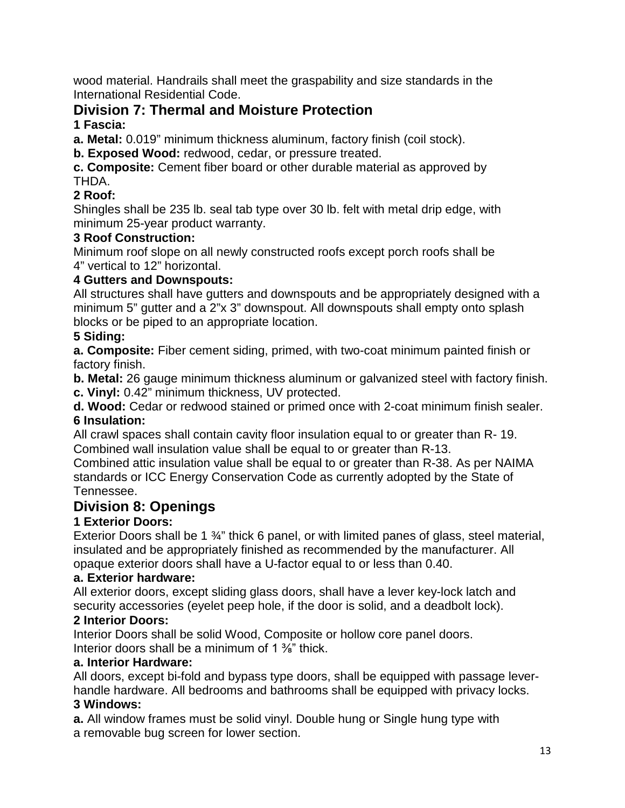wood material. Handrails shall meet the graspability and size standards in the International Residential Code.

## **Division 7: Thermal and Moisture Protection**

## **1 Fascia:**

**a. Metal:** 0.019" minimum thickness aluminum, factory finish (coil stock).

**b. Exposed Wood:** redwood, cedar, or pressure treated.

**c. Composite:** Cement fiber board or other durable material as approved by THDA.

## **2 Roof:**

Shingles shall be 235 lb. seal tab type over 30 lb. felt with metal drip edge, with minimum 25-year product warranty.

## **3 Roof Construction:**

Minimum roof slope on all newly constructed roofs except porch roofs shall be 4" vertical to 12" horizontal.

## **4 Gutters and Downspouts:**

All structures shall have gutters and downspouts and be appropriately designed with a minimum 5" gutter and a 2"x 3" downspout. All downspouts shall empty onto splash blocks or be piped to an appropriate location.

## **5 Siding:**

**a. Composite:** Fiber cement siding, primed, with two-coat minimum painted finish or factory finish.

**b. Metal:** 26 gauge minimum thickness aluminum or galvanized steel with factory finish. **c. Vinyl:** 0.42" minimum thickness, UV protected.

**d. Wood:** Cedar or redwood stained or primed once with 2-coat minimum finish sealer. **6 Insulation:**

All crawl spaces shall contain cavity floor insulation equal to or greater than R- 19. Combined wall insulation value shall be equal to or greater than R-13.

Combined attic insulation value shall be equal to or greater than R-38. As per NAIMA standards or ICC Energy Conservation Code as currently adopted by the State of Tennessee.

## **Division 8: Openings**

## **1 Exterior Doors:**

Exterior Doors shall be 1 ¾" thick 6 panel, or with limited panes of glass, steel material, insulated and be appropriately finished as recommended by the manufacturer. All opaque exterior doors shall have a U-factor equal to or less than 0.40.

## **a. Exterior hardware:**

All exterior doors, except sliding glass doors, shall have a lever key-lock latch and security accessories (eyelet peep hole, if the door is solid, and a deadbolt lock).

## **2 Interior Doors:**

Interior Doors shall be solid Wood, Composite or hollow core panel doors. Interior doors shall be a minimum of 1 <sup>3</sup>/<sub>8</sub>" thick.

## **a. Interior Hardware:**

All doors, except bi-fold and bypass type doors, shall be equipped with passage leverhandle hardware. All bedrooms and bathrooms shall be equipped with privacy locks. **3 Windows:**

**a.** All window frames must be solid vinyl. Double hung or Single hung type with a removable bug screen for lower section.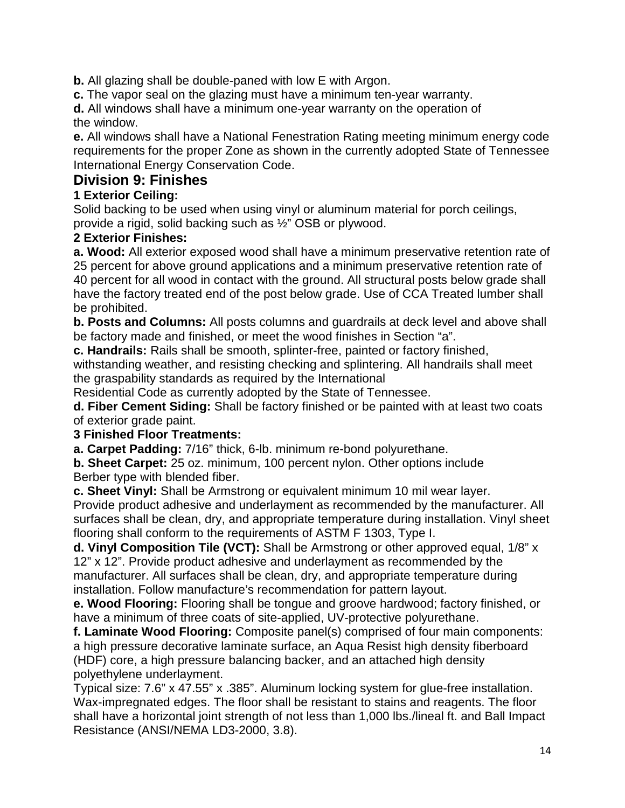**b.** All glazing shall be double-paned with low E with Argon.

**c.** The vapor seal on the glazing must have a minimum ten-year warranty.

**d.** All windows shall have a minimum one-year warranty on the operation of the window.

**e.** All windows shall have a National Fenestration Rating meeting minimum energy code requirements for the proper Zone as shown in the currently adopted State of Tennessee International Energy Conservation Code.

## **Division 9: Finishes**

## **1 Exterior Ceiling:**

Solid backing to be used when using vinyl or aluminum material for porch ceilings, provide a rigid, solid backing such as ½" OSB or plywood.

## **2 Exterior Finishes:**

**a. Wood:** All exterior exposed wood shall have a minimum preservative retention rate of 25 percent for above ground applications and a minimum preservative retention rate of 40 percent for all wood in contact with the ground. All structural posts below grade shall have the factory treated end of the post below grade. Use of CCA Treated lumber shall be prohibited.

**b. Posts and Columns:** All posts columns and guardrails at deck level and above shall be factory made and finished, or meet the wood finishes in Section "a".

**c. Handrails:** Rails shall be smooth, splinter-free, painted or factory finished, withstanding weather, and resisting checking and splintering. All handrails shall meet the graspability standards as required by the International

Residential Code as currently adopted by the State of Tennessee.

**d. Fiber Cement Siding:** Shall be factory finished or be painted with at least two coats of exterior grade paint.

## **3 Finished Floor Treatments:**

**a. Carpet Padding:** 7/16" thick, 6-lb. minimum re-bond polyurethane.

**b. Sheet Carpet:** 25 oz. minimum, 100 percent nylon. Other options include Berber type with blended fiber.

**c. Sheet Vinyl:** Shall be Armstrong or equivalent minimum 10 mil wear layer.

Provide product adhesive and underlayment as recommended by the manufacturer. All surfaces shall be clean, dry, and appropriate temperature during installation. Vinyl sheet flooring shall conform to the requirements of ASTM F 1303, Type I.

**d. Vinyl Composition Tile (VCT):** Shall be Armstrong or other approved equal, 1/8" x 12" x 12". Provide product adhesive and underlayment as recommended by the manufacturer. All surfaces shall be clean, dry, and appropriate temperature during installation. Follow manufacture's recommendation for pattern layout.

**e. Wood Flooring:** Flooring shall be tongue and groove hardwood; factory finished, or have a minimum of three coats of site-applied, UV-protective polyurethane.

**f. Laminate Wood Flooring:** Composite panel(s) comprised of four main components: a high pressure decorative laminate surface, an Aqua Resist high density fiberboard (HDF) core, a high pressure balancing backer, and an attached high density polyethylene underlayment.

Typical size: 7.6" x 47.55" x .385". Aluminum locking system for glue-free installation. Wax-impregnated edges. The floor shall be resistant to stains and reagents. The floor shall have a horizontal joint strength of not less than 1,000 lbs./lineal ft. and Ball Impact Resistance (ANSI/NEMA LD3-2000, 3.8).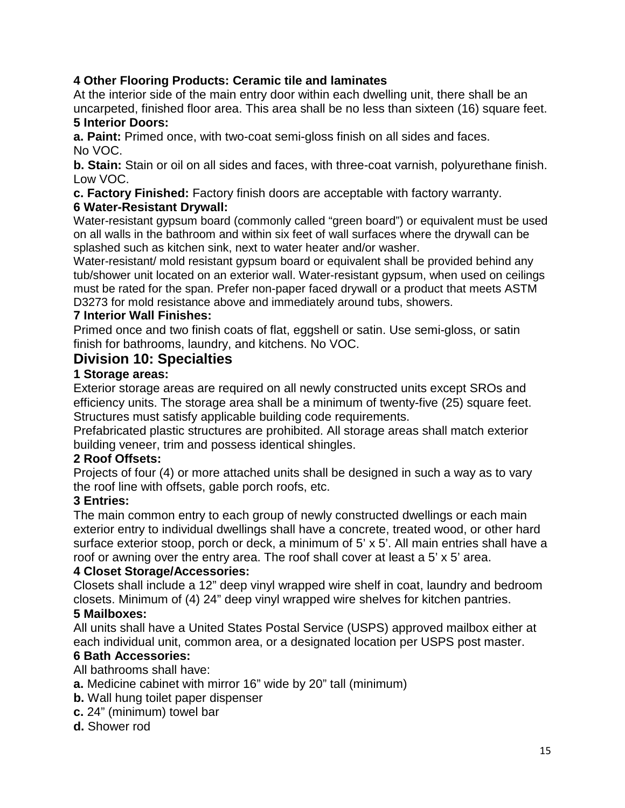## **4 Other Flooring Products: Ceramic tile and laminates**

At the interior side of the main entry door within each dwelling unit, there shall be an uncarpeted, finished floor area. This area shall be no less than sixteen (16) square feet. **5 Interior Doors:**

#### **a. Paint:** Primed once, with two-coat semi-gloss finish on all sides and faces. No VOC.

**b. Stain:** Stain or oil on all sides and faces, with three-coat varnish, polyurethane finish. Low VOC.

**c. Factory Finished:** Factory finish doors are acceptable with factory warranty.

## **6 Water-Resistant Drywall:**

Water-resistant gypsum board (commonly called "green board") or equivalent must be used on all walls in the bathroom and within six feet of wall surfaces where the drywall can be splashed such as kitchen sink, next to water heater and/or washer.

Water-resistant/ mold resistant gypsum board or equivalent shall be provided behind any tub/shower unit located on an exterior wall. Water-resistant gypsum, when used on ceilings must be rated for the span. Prefer non-paper faced drywall or a product that meets ASTM D3273 for mold resistance above and immediately around tubs, showers.

## **7 Interior Wall Finishes:**

Primed once and two finish coats of flat, eggshell or satin. Use semi-gloss, or satin finish for bathrooms, laundry, and kitchens. No VOC.

## **Division 10: Specialties**

## **1 Storage areas:**

Exterior storage areas are required on all newly constructed units except SROs and efficiency units. The storage area shall be a minimum of twenty-five (25) square feet. Structures must satisfy applicable building code requirements.

Prefabricated plastic structures are prohibited. All storage areas shall match exterior building veneer, trim and possess identical shingles.

## **2 Roof Offsets:**

Projects of four (4) or more attached units shall be designed in such a way as to vary the roof line with offsets, gable porch roofs, etc.

## **3 Entries:**

The main common entry to each group of newly constructed dwellings or each main exterior entry to individual dwellings shall have a concrete, treated wood, or other hard surface exterior stoop, porch or deck, a minimum of 5' x 5'. All main entries shall have a roof or awning over the entry area. The roof shall cover at least a 5' x 5' area.

## **4 Closet Storage/Accessories:**

Closets shall include a 12" deep vinyl wrapped wire shelf in coat, laundry and bedroom closets. Minimum of (4) 24" deep vinyl wrapped wire shelves for kitchen pantries.

## **5 Mailboxes:**

All units shall have a United States Postal Service (USPS) approved mailbox either at each individual unit, common area, or a designated location per USPS post master.

## **6 Bath Accessories:**

All bathrooms shall have:

- **a.** Medicine cabinet with mirror 16" wide by 20" tall (minimum)
- **b.** Wall hung toilet paper dispenser
- **c.** 24" (minimum) towel bar
- **d.** Shower rod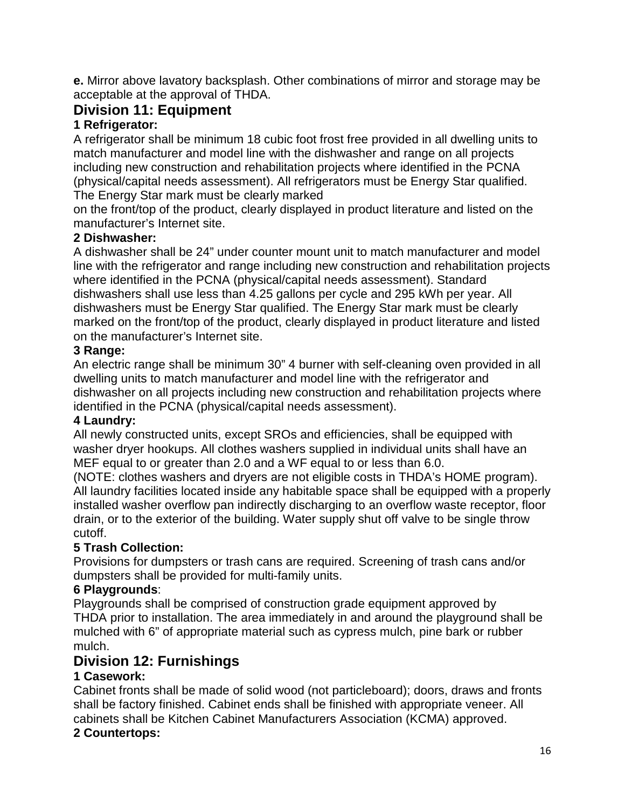**e.** Mirror above lavatory backsplash. Other combinations of mirror and storage may be acceptable at the approval of THDA.

## **Division 11: Equipment**

## **1 Refrigerator:**

A refrigerator shall be minimum 18 cubic foot frost free provided in all dwelling units to match manufacturer and model line with the dishwasher and range on all projects including new construction and rehabilitation projects where identified in the PCNA (physical/capital needs assessment). All refrigerators must be Energy Star qualified. The Energy Star mark must be clearly marked

on the front/top of the product, clearly displayed in product literature and listed on the manufacturer's Internet site.

## **2 Dishwasher:**

A dishwasher shall be 24" under counter mount unit to match manufacturer and model line with the refrigerator and range including new construction and rehabilitation projects where identified in the PCNA (physical/capital needs assessment). Standard dishwashers shall use less than 4.25 gallons per cycle and 295 kWh per year. All dishwashers must be Energy Star qualified. The Energy Star mark must be clearly marked on the front/top of the product, clearly displayed in product literature and listed on the manufacturer's Internet site.

#### **3 Range:**

An electric range shall be minimum 30" 4 burner with self-cleaning oven provided in all dwelling units to match manufacturer and model line with the refrigerator and dishwasher on all projects including new construction and rehabilitation projects where identified in the PCNA (physical/capital needs assessment).

#### **4 Laundry:**

All newly constructed units, except SROs and efficiencies, shall be equipped with washer dryer hookups. All clothes washers supplied in individual units shall have an MEF equal to or greater than 2.0 and a WF equal to or less than 6.0.

(NOTE: clothes washers and dryers are not eligible costs in THDA's HOME program). All laundry facilities located inside any habitable space shall be equipped with a properly installed washer overflow pan indirectly discharging to an overflow waste receptor, floor drain, or to the exterior of the building. Water supply shut off valve to be single throw cutoff.

## **5 Trash Collection:**

Provisions for dumpsters or trash cans are required. Screening of trash cans and/or dumpsters shall be provided for multi-family units.

## **6 Playgrounds**:

Playgrounds shall be comprised of construction grade equipment approved by THDA prior to installation. The area immediately in and around the playground shall be mulched with 6" of appropriate material such as cypress mulch, pine bark or rubber mulch.

## **Division 12: Furnishings**

## **1 Casework:**

Cabinet fronts shall be made of solid wood (not particleboard); doors, draws and fronts shall be factory finished. Cabinet ends shall be finished with appropriate veneer. All cabinets shall be Kitchen Cabinet Manufacturers Association (KCMA) approved.

## **2 Countertops:**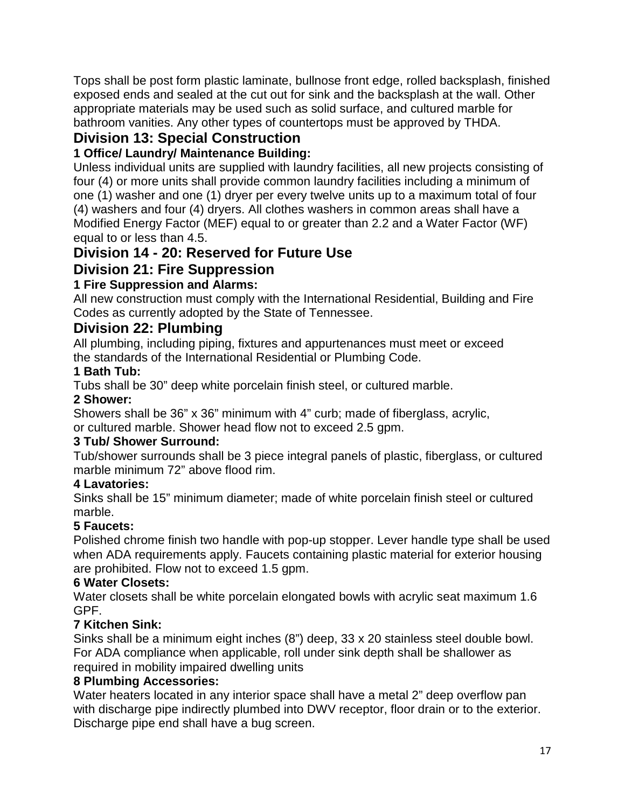Tops shall be post form plastic laminate, bullnose front edge, rolled backsplash, finished exposed ends and sealed at the cut out for sink and the backsplash at the wall. Other appropriate materials may be used such as solid surface, and cultured marble for bathroom vanities. Any other types of countertops must be approved by THDA.

## **Division 13: Special Construction**

## **1 Office/ Laundry/ Maintenance Building:**

Unless individual units are supplied with laundry facilities, all new projects consisting of four (4) or more units shall provide common laundry facilities including a minimum of one (1) washer and one (1) dryer per every twelve units up to a maximum total of four (4) washers and four (4) dryers. All clothes washers in common areas shall have a Modified Energy Factor (MEF) equal to or greater than 2.2 and a Water Factor (WF) equal to or less than 4.5.

## **Division 14 - 20: Reserved for Future Use**

## **Division 21: Fire Suppression**

## **1 Fire Suppression and Alarms:**

All new construction must comply with the International Residential, Building and Fire Codes as currently adopted by the State of Tennessee.

## **Division 22: Plumbing**

All plumbing, including piping, fixtures and appurtenances must meet or exceed the standards of the International Residential or Plumbing Code.

## **1 Bath Tub:**

Tubs shall be 30" deep white porcelain finish steel, or cultured marble.

## **2 Shower:**

Showers shall be 36" x 36" minimum with 4" curb; made of fiberglass, acrylic, or cultured marble. Shower head flow not to exceed 2.5 gpm.

## **3 Tub/ Shower Surround:**

Tub/shower surrounds shall be 3 piece integral panels of plastic, fiberglass, or cultured marble minimum 72" above flood rim.

## **4 Lavatories:**

Sinks shall be 15" minimum diameter; made of white porcelain finish steel or cultured marble.

## **5 Faucets:**

Polished chrome finish two handle with pop-up stopper. Lever handle type shall be used when ADA requirements apply. Faucets containing plastic material for exterior housing are prohibited. Flow not to exceed 1.5 gpm.

## **6 Water Closets:**

Water closets shall be white porcelain elongated bowls with acrylic seat maximum 1.6 GPF.

## **7 Kitchen Sink:**

Sinks shall be a minimum eight inches (8") deep, 33 x 20 stainless steel double bowl. For ADA compliance when applicable, roll under sink depth shall be shallower as required in mobility impaired dwelling units

## **8 Plumbing Accessories:**

Water heaters located in any interior space shall have a metal 2" deep overflow pan with discharge pipe indirectly plumbed into DWV receptor, floor drain or to the exterior. Discharge pipe end shall have a bug screen.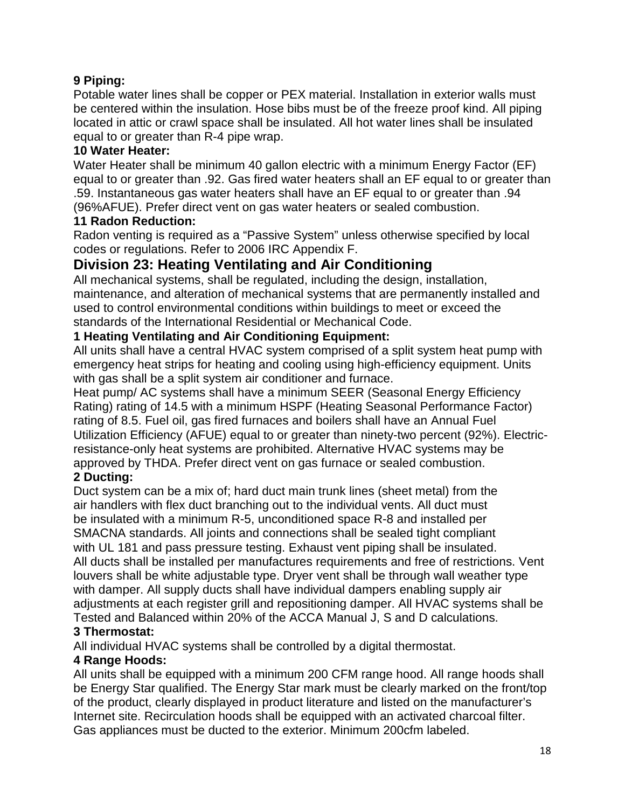## **9 Piping:**

Potable water lines shall be copper or PEX material. Installation in exterior walls must be centered within the insulation. Hose bibs must be of the freeze proof kind. All piping located in attic or crawl space shall be insulated. All hot water lines shall be insulated equal to or greater than R-4 pipe wrap.

#### **10 Water Heater:**

Water Heater shall be minimum 40 gallon electric with a minimum Energy Factor (EF) equal to or greater than .92. Gas fired water heaters shall an EF equal to or greater than .59. Instantaneous gas water heaters shall have an EF equal to or greater than .94 (96%AFUE). Prefer direct vent on gas water heaters or sealed combustion.

#### **11 Radon Reduction:**

Radon venting is required as a "Passive System" unless otherwise specified by local codes or regulations. Refer to 2006 IRC Appendix F.

## **Division 23: Heating Ventilating and Air Conditioning**

All mechanical systems, shall be regulated, including the design, installation, maintenance, and alteration of mechanical systems that are permanently installed and used to control environmental conditions within buildings to meet or exceed the standards of the International Residential or Mechanical Code.

## **1 Heating Ventilating and Air Conditioning Equipment:**

All units shall have a central HVAC system comprised of a split system heat pump with emergency heat strips for heating and cooling using high-efficiency equipment. Units with gas shall be a split system air conditioner and furnace.

Heat pump/ AC systems shall have a minimum SEER (Seasonal Energy Efficiency Rating) rating of 14.5 with a minimum HSPF (Heating Seasonal Performance Factor) rating of 8.5. Fuel oil, gas fired furnaces and boilers shall have an Annual Fuel Utilization Efficiency (AFUE) equal to or greater than ninety-two percent (92%). Electricresistance-only heat systems are prohibited. Alternative HVAC systems may be approved by THDA. Prefer direct vent on gas furnace or sealed combustion.

## **2 Ducting:**

Duct system can be a mix of; hard duct main trunk lines (sheet metal) from the air handlers with flex duct branching out to the individual vents. All duct must be insulated with a minimum R-5, unconditioned space R-8 and installed per SMACNA standards. All joints and connections shall be sealed tight compliant with UL 181 and pass pressure testing. Exhaust vent piping shall be insulated. All ducts shall be installed per manufactures requirements and free of restrictions. Vent louvers shall be white adjustable type. Dryer vent shall be through wall weather type with damper. All supply ducts shall have individual dampers enabling supply air adjustments at each register grill and repositioning damper. All HVAC systems shall be Tested and Balanced within 20% of the ACCA Manual J, S and D calculations.

## **3 Thermostat:**

All individual HVAC systems shall be controlled by a digital thermostat.

## **4 Range Hoods:**

All units shall be equipped with a minimum 200 CFM range hood. All range hoods shall be Energy Star qualified. The Energy Star mark must be clearly marked on the front/top of the product, clearly displayed in product literature and listed on the manufacturer's Internet site. Recirculation hoods shall be equipped with an activated charcoal filter. Gas appliances must be ducted to the exterior. Minimum 200cfm labeled.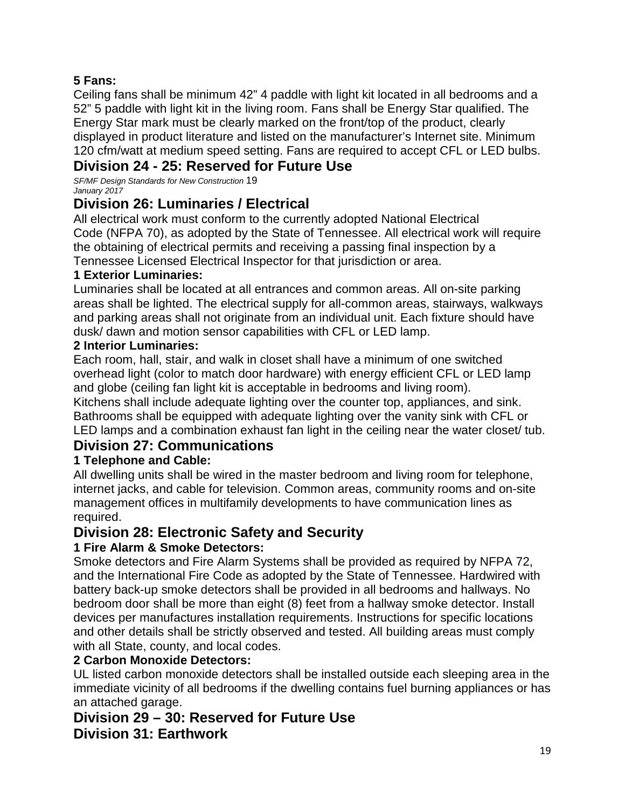## **5 Fans:**

Ceiling fans shall be minimum 42" 4 paddle with light kit located in all bedrooms and a 52" 5 paddle with light kit in the living room. Fans shall be Energy Star qualified. The Energy Star mark must be clearly marked on the front/top of the product, clearly displayed in product literature and listed on the manufacturer's Internet site. Minimum 120 cfm/watt at medium speed setting. Fans are required to accept CFL or LED bulbs.

## **Division 24 - 25: Reserved for Future Use**

*SF/MF Design Standards for New Construction* 19 *January 2017*

## **Division 26: Luminaries / Electrical**

All electrical work must conform to the currently adopted National Electrical Code (NFPA 70), as adopted by the State of Tennessee. All electrical work will require the obtaining of electrical permits and receiving a passing final inspection by a Tennessee Licensed Electrical Inspector for that jurisdiction or area.

## **1 Exterior Luminaries:**

Luminaries shall be located at all entrances and common areas. All on-site parking areas shall be lighted. The electrical supply for all-common areas, stairways, walkways and parking areas shall not originate from an individual unit. Each fixture should have dusk/ dawn and motion sensor capabilities with CFL or LED lamp.

## **2 Interior Luminaries:**

Each room, hall, stair, and walk in closet shall have a minimum of one switched overhead light (color to match door hardware) with energy efficient CFL or LED lamp and globe (ceiling fan light kit is acceptable in bedrooms and living room).

Kitchens shall include adequate lighting over the counter top, appliances, and sink. Bathrooms shall be equipped with adequate lighting over the vanity sink with CFL or LED lamps and a combination exhaust fan light in the ceiling near the water closet/ tub.

## **Division 27: Communications**

## **1 Telephone and Cable:**

All dwelling units shall be wired in the master bedroom and living room for telephone, internet jacks, and cable for television. Common areas, community rooms and on-site management offices in multifamily developments to have communication lines as required.

## **Division 28: Electronic Safety and Security**

## **1 Fire Alarm & Smoke Detectors:**

Smoke detectors and Fire Alarm Systems shall be provided as required by NFPA 72, and the International Fire Code as adopted by the State of Tennessee. Hardwired with battery back-up smoke detectors shall be provided in all bedrooms and hallways. No bedroom door shall be more than eight (8) feet from a hallway smoke detector. Install devices per manufactures installation requirements. Instructions for specific locations and other details shall be strictly observed and tested. All building areas must comply with all State, county, and local codes.

## **2 Carbon Monoxide Detectors:**

UL listed carbon monoxide detectors shall be installed outside each sleeping area in the immediate vicinity of all bedrooms if the dwelling contains fuel burning appliances or has an attached garage.

## **Division 29 – 30: Reserved for Future Use Division 31: Earthwork**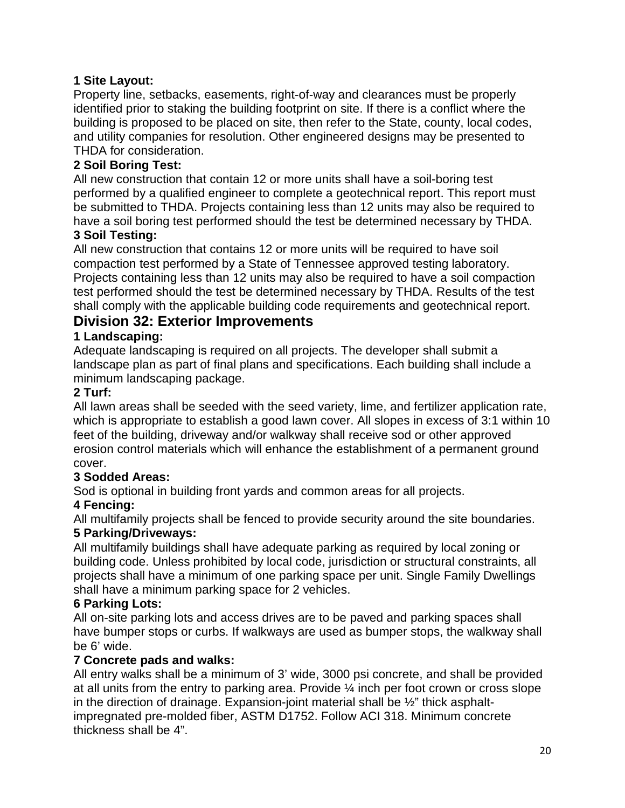## **1 Site Layout:**

Property line, setbacks, easements, right-of-way and clearances must be properly identified prior to staking the building footprint on site. If there is a conflict where the building is proposed to be placed on site, then refer to the State, county, local codes, and utility companies for resolution. Other engineered designs may be presented to THDA for consideration.

## **2 Soil Boring Test:**

All new construction that contain 12 or more units shall have a soil-boring test performed by a qualified engineer to complete a geotechnical report. This report must be submitted to THDA. Projects containing less than 12 units may also be required to have a soil boring test performed should the test be determined necessary by THDA. **3 Soil Testing:**

All new construction that contains 12 or more units will be required to have soil compaction test performed by a State of Tennessee approved testing laboratory. Projects containing less than 12 units may also be required to have a soil compaction test performed should the test be determined necessary by THDA. Results of the test shall comply with the applicable building code requirements and geotechnical report.

## **Division 32: Exterior Improvements**

## **1 Landscaping:**

Adequate landscaping is required on all projects. The developer shall submit a landscape plan as part of final plans and specifications. Each building shall include a minimum landscaping package.

#### **2 Turf:**

All lawn areas shall be seeded with the seed variety, lime, and fertilizer application rate, which is appropriate to establish a good lawn cover. All slopes in excess of 3:1 within 10 feet of the building, driveway and/or walkway shall receive sod or other approved erosion control materials which will enhance the establishment of a permanent ground cover.

## **3 Sodded Areas:**

Sod is optional in building front yards and common areas for all projects.

## **4 Fencing:**

All multifamily projects shall be fenced to provide security around the site boundaries. **5 Parking/Driveways:**

#### All multifamily buildings shall have adequate parking as required by local zoning or building code. Unless prohibited by local code, jurisdiction or structural constraints, all projects shall have a minimum of one parking space per unit. Single Family Dwellings shall have a minimum parking space for 2 vehicles.

#### **6 Parking Lots:**

All on-site parking lots and access drives are to be paved and parking spaces shall have bumper stops or curbs. If walkways are used as bumper stops, the walkway shall be 6' wide.

#### **7 Concrete pads and walks:**

All entry walks shall be a minimum of 3' wide, 3000 psi concrete, and shall be provided at all units from the entry to parking area. Provide ¼ inch per foot crown or cross slope in the direction of drainage. Expansion-joint material shall be ½" thick asphaltimpregnated pre-molded fiber, ASTM D1752. Follow ACI 318. Minimum concrete thickness shall be 4".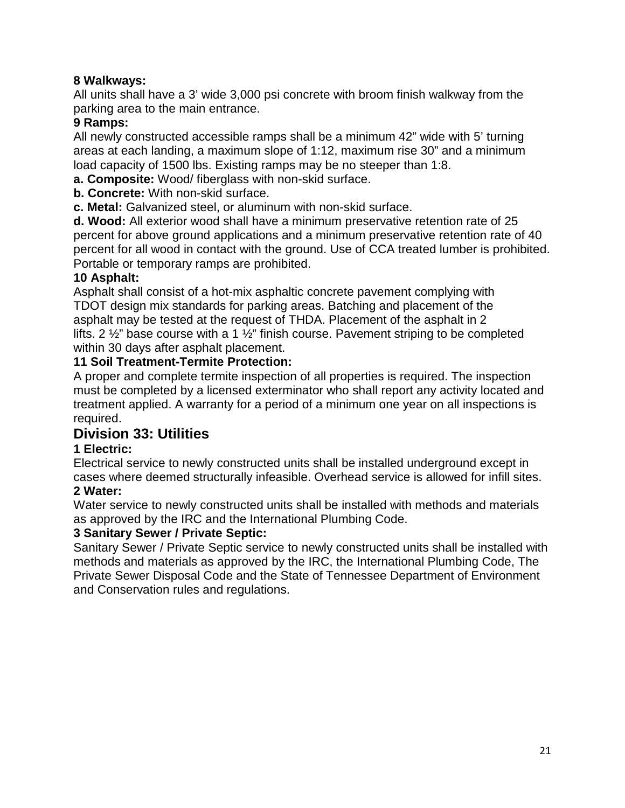## **8 Walkways:**

All units shall have a 3' wide 3,000 psi concrete with broom finish walkway from the parking area to the main entrance.

## **9 Ramps:**

All newly constructed accessible ramps shall be a minimum 42" wide with 5' turning areas at each landing, a maximum slope of 1:12, maximum rise 30" and a minimum load capacity of 1500 lbs. Existing ramps may be no steeper than 1:8.

- **a. Composite:** Wood/ fiberglass with non-skid surface.
- **b. Concrete:** With non-skid surface.

**c. Metal:** Galvanized steel, or aluminum with non-skid surface.

**d. Wood:** All exterior wood shall have a minimum preservative retention rate of 25 percent for above ground applications and a minimum preservative retention rate of 40 percent for all wood in contact with the ground. Use of CCA treated lumber is prohibited. Portable or temporary ramps are prohibited.

## **10 Asphalt:**

Asphalt shall consist of a hot-mix asphaltic concrete pavement complying with TDOT design mix standards for parking areas. Batching and placement of the asphalt may be tested at the request of THDA. Placement of the asphalt in 2 lifts. 2 ½" base course with a 1 ½" finish course. Pavement striping to be completed within 30 days after asphalt placement.

## **11 Soil Treatment-Termite Protection:**

A proper and complete termite inspection of all properties is required. The inspection must be completed by a licensed exterminator who shall report any activity located and treatment applied. A warranty for a period of a minimum one year on all inspections is required.

## **Division 33: Utilities**

## **1 Electric:**

Electrical service to newly constructed units shall be installed underground except in cases where deemed structurally infeasible. Overhead service is allowed for infill sites. **2 Water:**

Water service to newly constructed units shall be installed with methods and materials as approved by the IRC and the International Plumbing Code.

## **3 Sanitary Sewer / Private Septic:**

Sanitary Sewer / Private Septic service to newly constructed units shall be installed with methods and materials as approved by the IRC, the International Plumbing Code, The Private Sewer Disposal Code and the State of Tennessee Department of Environment and Conservation rules and regulations.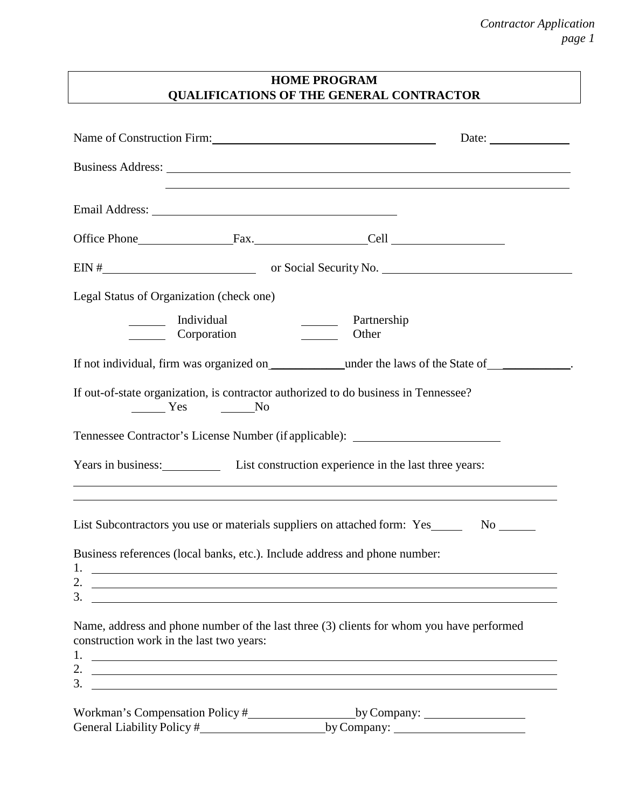## **HOME PROGRAM QUALIFICATIONS OF THE GENERAL CONTRACTOR**

|                                                                                                                                   | Date: $\frac{1}{\sqrt{1-\frac{1}{2}}\cdot\frac{1}{2}}$                                                                                                                                                                                      |
|-----------------------------------------------------------------------------------------------------------------------------------|---------------------------------------------------------------------------------------------------------------------------------------------------------------------------------------------------------------------------------------------|
|                                                                                                                                   |                                                                                                                                                                                                                                             |
|                                                                                                                                   |                                                                                                                                                                                                                                             |
|                                                                                                                                   | Office Phone Fax. Cell Call                                                                                                                                                                                                                 |
|                                                                                                                                   |                                                                                                                                                                                                                                             |
| Legal Status of Organization (check one)                                                                                          |                                                                                                                                                                                                                                             |
| ________ Individual<br>Corporation                                                                                                | Partnership<br>$\overline{\phantom{a}}$<br>Other                                                                                                                                                                                            |
|                                                                                                                                   |                                                                                                                                                                                                                                             |
| $\frac{1}{\sqrt{1-\frac{1}{c}}}\text{Yes}$ No                                                                                     | If out-of-state organization, is contractor authorized to do business in Tennessee?                                                                                                                                                         |
|                                                                                                                                   | Tennessee Contractor's License Number (if applicable): _________________________                                                                                                                                                            |
|                                                                                                                                   | Years in business: List construction experience in the last three years:<br>,我们也不能在这里的时候,我们也不能在这里的时候,我们也不能会在这里的时候,我们也不能会在这里的时候,我们也不能会在这里的时候,我们也不能会在这里的时候,我们也不                                                                               |
|                                                                                                                                   | <u> 1989 - Johann Stoff, deutscher Stoff, der Stoff, der Stoff, der Stoff, der Stoff, der Stoff, der Stoff, der S</u><br>List Subcontractors you use or materials suppliers on attached form: Yes No No                                     |
| Business references (local banks, etc.). Include address and phone number:                                                        |                                                                                                                                                                                                                                             |
| 2.<br>3.<br><u> 1989 - Johann Stein, marwolaethau a bhann an t-Amhain ann an t-Amhain an t-Amhain an t-Amhain an t-Amhain an </u> |                                                                                                                                                                                                                                             |
| construction work in the last two years:<br>3.                                                                                    | Name, address and phone number of the last three (3) clients for whom you have performed<br>2. $\overline{\phantom{a}}$<br>and the control of the control of the control of the control of the control of the control of the control of the |
|                                                                                                                                   | by Company: $\frac{1}{2}$<br>by Company: $\qquad \qquad$                                                                                                                                                                                    |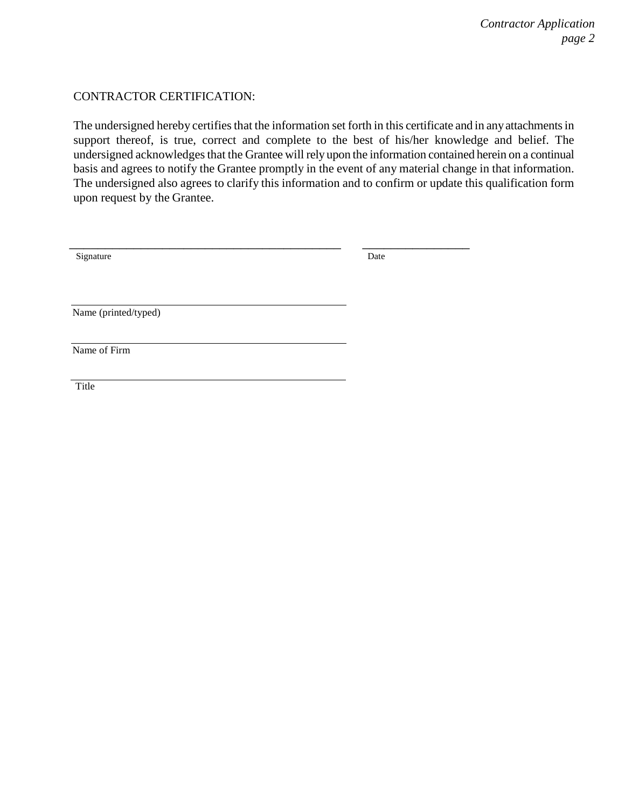#### CONTRACTOR CERTIFICATION:

The undersigned hereby certifies that the information set forth in this certificate and in any attachments in support thereof, is true, correct and complete to the best of his/her knowledge and belief. The undersigned acknowledges that the Grantee will rely upon the information contained herein on a continual basis and agrees to notify the Grantee promptly in the event of any material change in that information. The undersigned also agrees to clarify this information and to confirm or update this qualification form upon request by the Grantee.

| Signature            | Date |
|----------------------|------|
| Name (printed/typed) |      |
| Name of Firm         |      |
| Title                |      |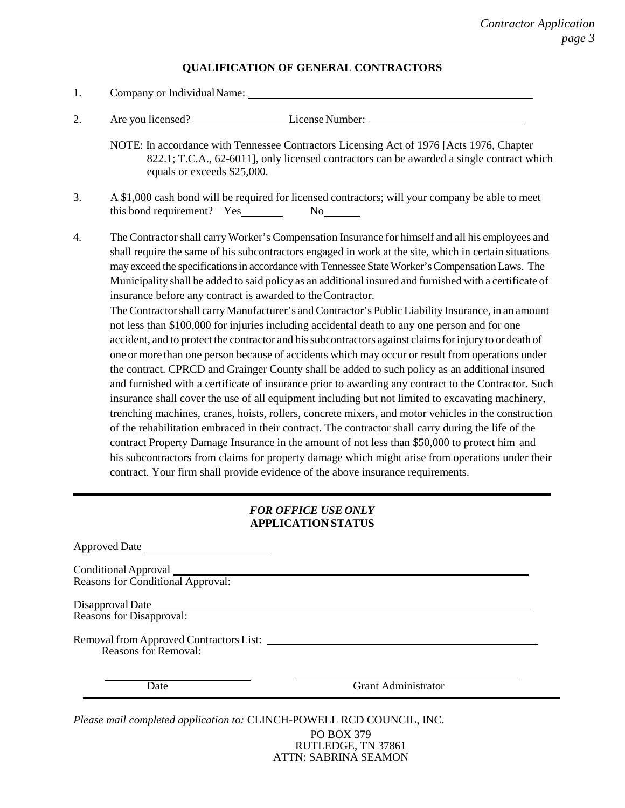#### **QUALIFICATION OF GENERAL CONTRACTORS**

| 1. |                                                                                                                                                                                                                                                                                                                                                                                                                                                                                                                                                                                                                                                                                                                                                                                                                                                                                                                                                                                                                                                                                                                                                                                                                                                                                                                                                                                                                                            |
|----|--------------------------------------------------------------------------------------------------------------------------------------------------------------------------------------------------------------------------------------------------------------------------------------------------------------------------------------------------------------------------------------------------------------------------------------------------------------------------------------------------------------------------------------------------------------------------------------------------------------------------------------------------------------------------------------------------------------------------------------------------------------------------------------------------------------------------------------------------------------------------------------------------------------------------------------------------------------------------------------------------------------------------------------------------------------------------------------------------------------------------------------------------------------------------------------------------------------------------------------------------------------------------------------------------------------------------------------------------------------------------------------------------------------------------------------------|
| 2. | Are you licensed? License Number:                                                                                                                                                                                                                                                                                                                                                                                                                                                                                                                                                                                                                                                                                                                                                                                                                                                                                                                                                                                                                                                                                                                                                                                                                                                                                                                                                                                                          |
|    | NOTE: In accordance with Tennessee Contractors Licensing Act of 1976 [Acts 1976, Chapter<br>822.1; T.C.A., 62-6011], only licensed contractors can be awarded a single contract which<br>equals or exceeds \$25,000.                                                                                                                                                                                                                                                                                                                                                                                                                                                                                                                                                                                                                                                                                                                                                                                                                                                                                                                                                                                                                                                                                                                                                                                                                       |
| 3. | A \$1,000 cash bond will be required for licensed contractors; will your company be able to meet<br>$No$ <sub>_________</sub>                                                                                                                                                                                                                                                                                                                                                                                                                                                                                                                                                                                                                                                                                                                                                                                                                                                                                                                                                                                                                                                                                                                                                                                                                                                                                                              |
| 4. | The Contractor shall carry Worker's Compensation Insurance for himself and all his employees and<br>shall require the same of his subcontractors engaged in work at the site, which in certain situations<br>may exceed the specifications in accordance with Tennessee State Worker's Compensation Laws. The<br>Municipality shall be added to said policy as an additional insured and furnished with a certificate of<br>insurance before any contract is awarded to the Contractor.<br>The Contractor shall carry Manufacturer's and Contractor's Public Liability Insurance, in an amount<br>not less than \$100,000 for injuries including accidental death to any one person and for one<br>accident, and to protect the contractor and his subcontractors against claims for injury to or death of<br>one or more than one person because of accidents which may occur or result from operations under<br>the contract. CPRCD and Grainger County shall be added to such policy as an additional insured<br>and furnished with a certificate of insurance prior to awarding any contract to the Contractor. Such<br>insurance shall cover the use of all equipment including but not limited to excavating machinery,<br>trenching machines, cranes, hoists, rollers, concrete mixers, and motor vehicles in the construction<br>of the republication embrood in their contract. The contractor shall carry during the life of the |

of the rehabilitation embraced in their contract. The contractor shall carry during the life of the contract Property Damage Insurance in the amount of not less than \$50,000 to protect him and his subcontractors from claims for property damage which might arise from operations under their contract. Your firm shall provide evidence of the above insurance requirements.

#### *FOR OFFICE USE ONLY* **APPLICATION STATUS**

Approved Date Conditional Approval Reasons for Conditional Approval: Disapproval Date Reasons for Disapproval: Removal from Approved Contractors List: Reasons for Removal: Date Grant Administrator

*Please mail completed application to:* CLINCH-POWELL RCD COUNCIL, INC.

PO BOX 379 RUTLEDGE, TN 37861 ATTN: SABRINA SEAMON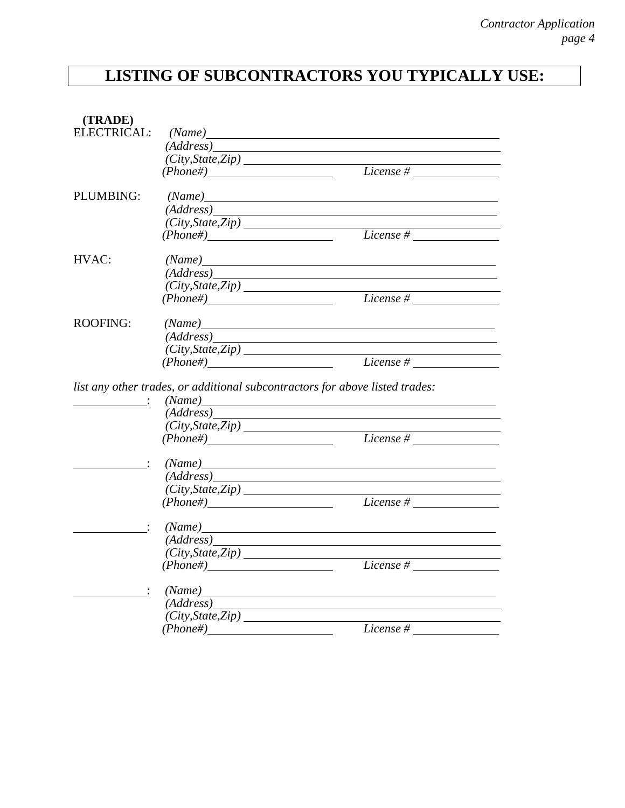# **LISTING OF SUBCONTRACTORS YOU TYPICALLY USE:**

| (TRADE)         |                    |                                                                                      |
|-----------------|--------------------|--------------------------------------------------------------------------------------|
|                 |                    |                                                                                      |
|                 |                    | (Address)                                                                            |
|                 |                    |                                                                                      |
|                 | (Phone#)           | $\frac{(\textit{Aauress})}{(\textit{City}, \textit{State}, \textit{Zip})}$ License # |
| PLUMBING:       |                    | (Name)                                                                               |
|                 |                    |                                                                                      |
|                 |                    |                                                                                      |
|                 | $(Phone\#)$        | $\frac{(\textit{Aaaress})}{(\textit{City}, \textit{State}, \textit{Zip})}$ License # |
| HVAC:           |                    | (Name)                                                                               |
|                 |                    | (Address)                                                                            |
|                 |                    |                                                                                      |
|                 |                    | (City, State, Zip) License #                                                         |
| <b>ROOFING:</b> |                    | (Name)                                                                               |
|                 |                    | (Address)                                                                            |
|                 |                    | (City, State, Zip)<br>(Phone#) License #                                             |
|                 |                    |                                                                                      |
|                 |                    | (Name)<br>$\overline{(Address)}$                                                     |
|                 |                    | $\frac{City, State, Zip)}{Phone#}$ License #                                         |
|                 | $(Phone\#)$        |                                                                                      |
|                 |                    | (Name)                                                                               |
|                 |                    |                                                                                      |
|                 |                    | (Address)                                                                            |
|                 |                    |                                                                                      |
|                 |                    | $(City, State, Zip)$<br>$(Lity, State, Zip)$ License #                               |
|                 |                    |                                                                                      |
|                 |                    | (Name)                                                                               |
|                 |                    | <u> 1980 - Johann Barbara, martxa al</u>                                             |
|                 | (City, State, Zip) | $(Phone#)$ License #                                                                 |
|                 |                    |                                                                                      |
|                 |                    | (Name)                                                                               |
|                 |                    | (Address)                                                                            |
|                 | (City, State, Zip) | License #                                                                            |